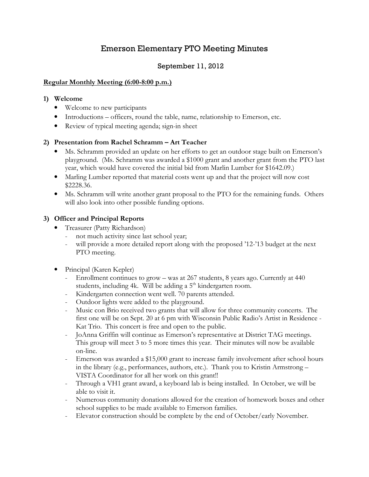# Emerson Elementary PTO Meeting Minutes

# September 11, 2012

## Regular Monthly Meeting (6:00-8:00 p.m.)

### 1) Welcome

- Welcome to new participants
- Introductions officers, round the table, name, relationship to Emerson, etc.
- Review of typical meeting agenda; sign-in sheet

# 2) Presentation from Rachel Schramm – Art Teacher

- Ms. Schramm provided an update on her efforts to get an outdoor stage built on Emerson's playground. (Ms. Schramm was awarded a \$1000 grant and another grant from the PTO last year, which would have covered the initial bid from Marlin Lumber for \$1642.09.)
- Marling Lumber reported that material costs went up and that the project will now cost \$2228.36.
- Ms. Schramm will write another grant proposal to the PTO for the remaining funds. Others will also look into other possible funding options.

# 3) Officer and Principal Reports

- Treasurer (Patty Richardson)
	- not much activity since last school year;
	- will provide a more detailed report along with the proposed '12-'13 budget at the next PTO meeting.
- Principal (Karen Kepler)
	- Enrollment continues to grow was at 267 students, 8 years ago. Currently at 440 students, including 4k. Will be adding a 5<sup>th</sup> kindergarten room.
	- Kindergarten connection went well. 70 parents attended.
	- Outdoor lights were added to the playground.
	- Music con Brio received two grants that will allow for three community concerts. The first one will be on Sept. 20 at 6 pm with Wisconsin Public Radio's Artist in Residence - Kat Trio. This concert is free and open to the public.
	- JoAnna Griffin will continue as Emerson's representative at District TAG meetings. This group will meet 3 to 5 more times this year. Their minutes will now be available on-line.
	- Emerson was awarded a \$15,000 grant to increase family involvement after school hours in the library (e.g., performances, authors, etc.). Thank you to Kristin Armstrong – VISTA Coordinator for all her work on this grant!!
	- Through a VH1 grant award, a keyboard lab is being installed. In October, we will be able to visit it.
	- Numerous community donations allowed for the creation of homework boxes and other school supplies to be made available to Emerson families.
	- Elevator construction should be complete by the end of October/early November.